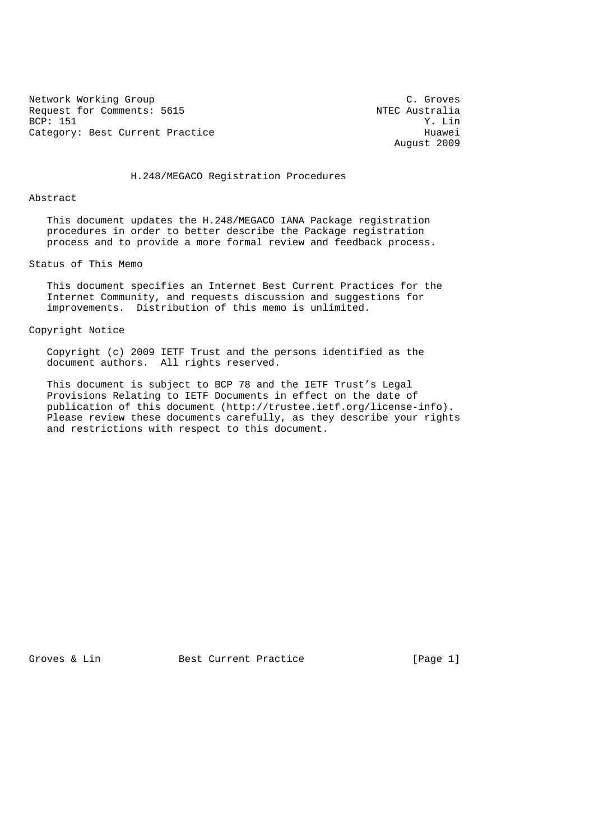Network Working Group<br>Request for Comments: 5615 The Constant of Constants and Manuscus C. Groves Request for Comments: 5615 NTEC Australia<br>BCP: 151 Y. Lin BCP: 151 Y. Lin Category: Best Current Practice extends the Huawei

August 2009

H.248/MEGACO Registration Procedures

#### Abstract

 This document updates the H.248/MEGACO IANA Package registration procedures in order to better describe the Package registration process and to provide a more formal review and feedback process.

# Status of This Memo

 This document specifies an Internet Best Current Practices for the Internet Community, and requests discussion and suggestions for improvements. Distribution of this memo is unlimited.

#### Copyright Notice

 Copyright (c) 2009 IETF Trust and the persons identified as the document authors. All rights reserved.

 This document is subject to BCP 78 and the IETF Trust's Legal Provisions Relating to IETF Documents in effect on the date of publication of this document (http://trustee.ietf.org/license-info). Please review these documents carefully, as they describe your rights and restrictions with respect to this document.

Groves & Lin Best Current Practice [Page 1]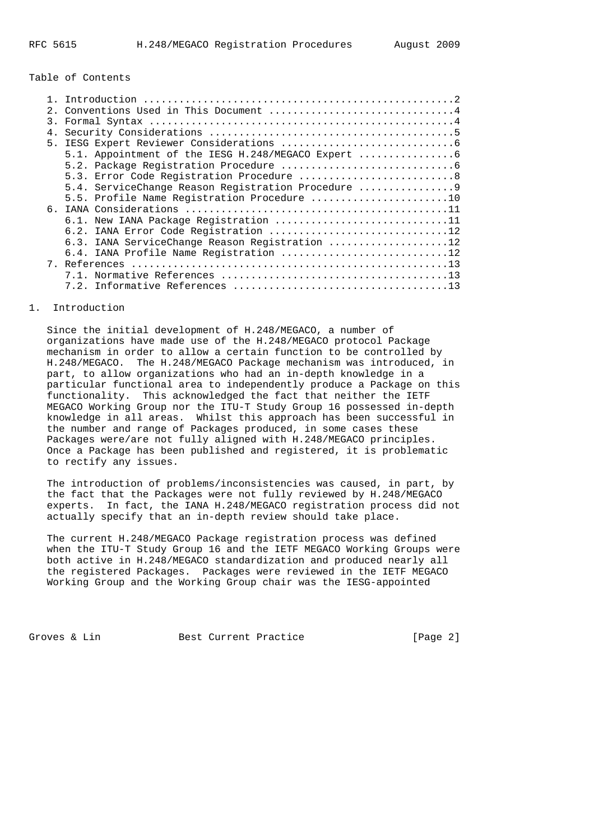## Table of Contents

|    | 2. Conventions Used in This Document 4             |
|----|----------------------------------------------------|
| 3. |                                                    |
| 4. |                                                    |
|    |                                                    |
|    | 5.1. Appointment of the IESG H.248/MEGACO Expert   |
|    |                                                    |
|    | 5.3. Error Code Registration Procedure 8           |
|    | 5.4. ServiceChange Reason Registration Procedure 9 |
|    | 5.5. Profile Name Registration Procedure 10        |
|    |                                                    |
|    | 6.1. New IANA Package Registration 11              |
|    | 6.2. IANA Error Code Registration 12               |
|    | 6.3. IANA ServiceChange Reason Registration 12     |
|    | 6.4. IANA Profile Name Registration 12             |
|    |                                                    |
|    |                                                    |
|    |                                                    |

### 1. Introduction

 Since the initial development of H.248/MEGACO, a number of organizations have made use of the H.248/MEGACO protocol Package mechanism in order to allow a certain function to be controlled by H.248/MEGACO. The H.248/MEGACO Package mechanism was introduced, in part, to allow organizations who had an in-depth knowledge in a particular functional area to independently produce a Package on this functionality. This acknowledged the fact that neither the IETF MEGACO Working Group nor the ITU-T Study Group 16 possessed in-depth knowledge in all areas. Whilst this approach has been successful in the number and range of Packages produced, in some cases these Packages were/are not fully aligned with H.248/MEGACO principles. Once a Package has been published and registered, it is problematic to rectify any issues.

 The introduction of problems/inconsistencies was caused, in part, by the fact that the Packages were not fully reviewed by H.248/MEGACO experts. In fact, the IANA H.248/MEGACO registration process did not actually specify that an in-depth review should take place.

 The current H.248/MEGACO Package registration process was defined when the ITU-T Study Group 16 and the IETF MEGACO Working Groups were both active in H.248/MEGACO standardization and produced nearly all the registered Packages. Packages were reviewed in the IETF MEGACO Working Group and the Working Group chair was the IESG-appointed

Groves & Lin Best Current Practice [Page 2]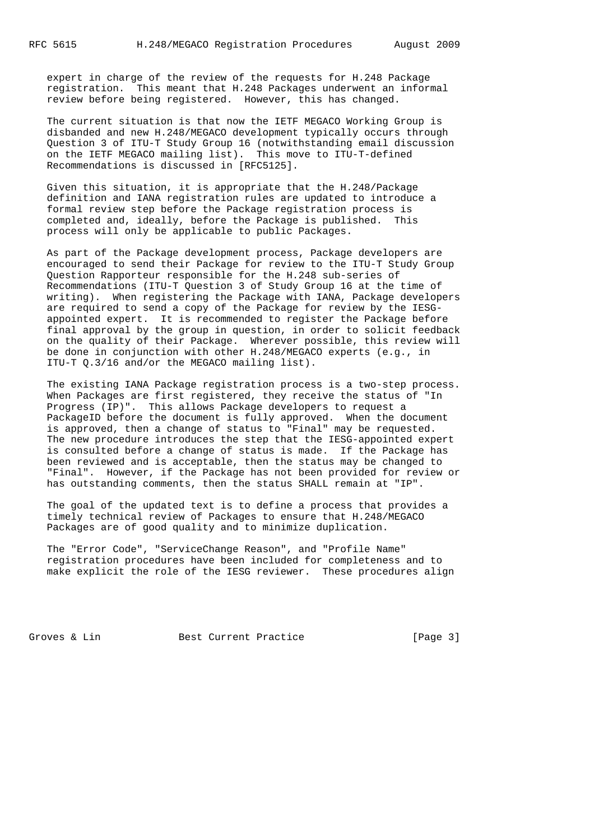expert in charge of the review of the requests for H.248 Package registration. This meant that H.248 Packages underwent an informal review before being registered. However, this has changed.

 The current situation is that now the IETF MEGACO Working Group is disbanded and new H.248/MEGACO development typically occurs through Question 3 of ITU-T Study Group 16 (notwithstanding email discussion on the IETF MEGACO mailing list). This move to ITU-T-defined Recommendations is discussed in [RFC5125].

 Given this situation, it is appropriate that the H.248/Package definition and IANA registration rules are updated to introduce a formal review step before the Package registration process is completed and, ideally, before the Package is published. This process will only be applicable to public Packages.

 As part of the Package development process, Package developers are encouraged to send their Package for review to the ITU-T Study Group Question Rapporteur responsible for the H.248 sub-series of Recommendations (ITU-T Question 3 of Study Group 16 at the time of writing). When registering the Package with IANA, Package developers are required to send a copy of the Package for review by the IESG appointed expert. It is recommended to register the Package before final approval by the group in question, in order to solicit feedback on the quality of their Package. Wherever possible, this review will be done in conjunction with other H.248/MEGACO experts (e.g., in ITU-T Q.3/16 and/or the MEGACO mailing list).

 The existing IANA Package registration process is a two-step process. When Packages are first registered, they receive the status of "In Progress (IP)". This allows Package developers to request a PackageID before the document is fully approved. When the document is approved, then a change of status to "Final" may be requested. The new procedure introduces the step that the IESG-appointed expert is consulted before a change of status is made. If the Package has been reviewed and is acceptable, then the status may be changed to "Final". However, if the Package has not been provided for review or has outstanding comments, then the status SHALL remain at "IP".

 The goal of the updated text is to define a process that provides a timely technical review of Packages to ensure that H.248/MEGACO Packages are of good quality and to minimize duplication.

 The "Error Code", "ServiceChange Reason", and "Profile Name" registration procedures have been included for completeness and to make explicit the role of the IESG reviewer. These procedures align

Groves & Lin Best Current Practice [Page 3]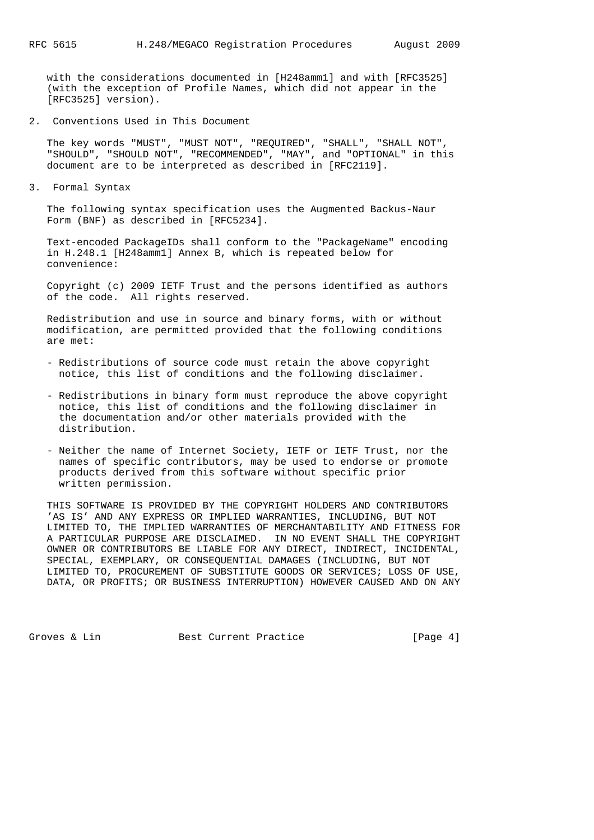with the considerations documented in [H248amm1] and with [RFC3525] (with the exception of Profile Names, which did not appear in the [RFC3525] version).

2. Conventions Used in This Document

 The key words "MUST", "MUST NOT", "REQUIRED", "SHALL", "SHALL NOT", "SHOULD", "SHOULD NOT", "RECOMMENDED", "MAY", and "OPTIONAL" in this document are to be interpreted as described in [RFC2119].

3. Formal Syntax

 The following syntax specification uses the Augmented Backus-Naur Form (BNF) as described in [RFC5234].

 Text-encoded PackageIDs shall conform to the "PackageName" encoding in H.248.1 [H248amm1] Annex B, which is repeated below for convenience:

 Copyright (c) 2009 IETF Trust and the persons identified as authors of the code. All rights reserved.

 Redistribution and use in source and binary forms, with or without modification, are permitted provided that the following conditions are met:

- Redistributions of source code must retain the above copyright notice, this list of conditions and the following disclaimer.
- Redistributions in binary form must reproduce the above copyright notice, this list of conditions and the following disclaimer in the documentation and/or other materials provided with the distribution.
- Neither the name of Internet Society, IETF or IETF Trust, nor the names of specific contributors, may be used to endorse or promote products derived from this software without specific prior written permission.

 THIS SOFTWARE IS PROVIDED BY THE COPYRIGHT HOLDERS AND CONTRIBUTORS 'AS IS' AND ANY EXPRESS OR IMPLIED WARRANTIES, INCLUDING, BUT NOT LIMITED TO, THE IMPLIED WARRANTIES OF MERCHANTABILITY AND FITNESS FOR A PARTICULAR PURPOSE ARE DISCLAIMED. IN NO EVENT SHALL THE COPYRIGHT OWNER OR CONTRIBUTORS BE LIABLE FOR ANY DIRECT, INDIRECT, INCIDENTAL, SPECIAL, EXEMPLARY, OR CONSEQUENTIAL DAMAGES (INCLUDING, BUT NOT LIMITED TO, PROCUREMENT OF SUBSTITUTE GOODS OR SERVICES; LOSS OF USE, DATA, OR PROFITS; OR BUSINESS INTERRUPTION) HOWEVER CAUSED AND ON ANY

Groves & Lin Best Current Practice [Page 4]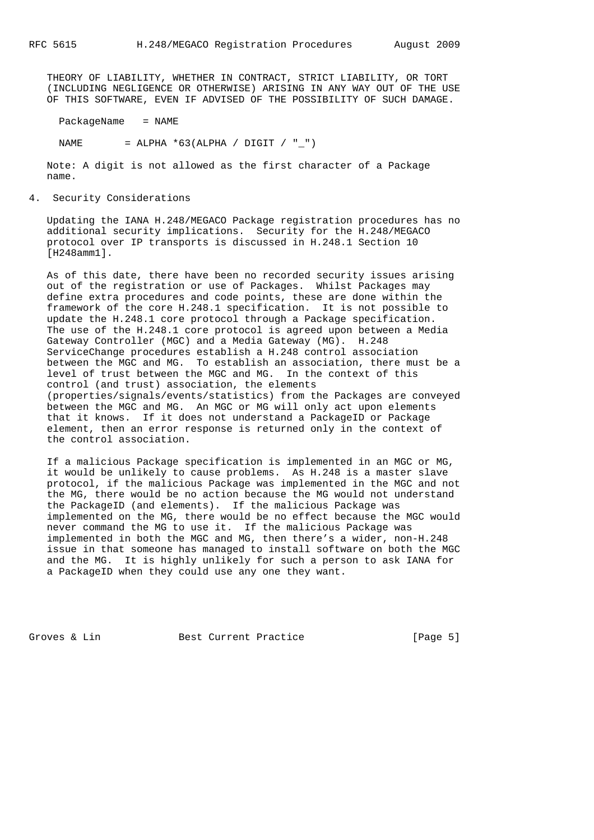THEORY OF LIABILITY, WHETHER IN CONTRACT, STRICT LIABILITY, OR TORT (INCLUDING NEGLIGENCE OR OTHERWISE) ARISING IN ANY WAY OUT OF THE USE OF THIS SOFTWARE, EVEN IF ADVISED OF THE POSSIBILITY OF SUCH DAMAGE.

PackageName = NAME

NAME = ALPHA  $*63(ALPHA / DIGIT / " "')$ 

 Note: A digit is not allowed as the first character of a Package name.

4. Security Considerations

 Updating the IANA H.248/MEGACO Package registration procedures has no additional security implications. Security for the H.248/MEGACO protocol over IP transports is discussed in H.248.1 Section 10 [H248amm1].

 As of this date, there have been no recorded security issues arising out of the registration or use of Packages. Whilst Packages may define extra procedures and code points, these are done within the framework of the core H.248.1 specification. It is not possible to update the H.248.1 core protocol through a Package specification. The use of the H.248.1 core protocol is agreed upon between a Media Gateway Controller (MGC) and a Media Gateway (MG). H.248 ServiceChange procedures establish a H.248 control association between the MGC and MG. To establish an association, there must be a level of trust between the MGC and MG. In the context of this control (and trust) association, the elements (properties/signals/events/statistics) from the Packages are conveyed between the MGC and MG. An MGC or MG will only act upon elements that it knows. If it does not understand a PackageID or Package element, then an error response is returned only in the context of the control association.

 If a malicious Package specification is implemented in an MGC or MG, it would be unlikely to cause problems. As H.248 is a master slave protocol, if the malicious Package was implemented in the MGC and not the MG, there would be no action because the MG would not understand the PackageID (and elements). If the malicious Package was implemented on the MG, there would be no effect because the MGC would never command the MG to use it. If the malicious Package was implemented in both the MGC and MG, then there's a wider, non-H.248 issue in that someone has managed to install software on both the MGC and the MG. It is highly unlikely for such a person to ask IANA for a PackageID when they could use any one they want.

Groves & Lin Best Current Practice [Page 5]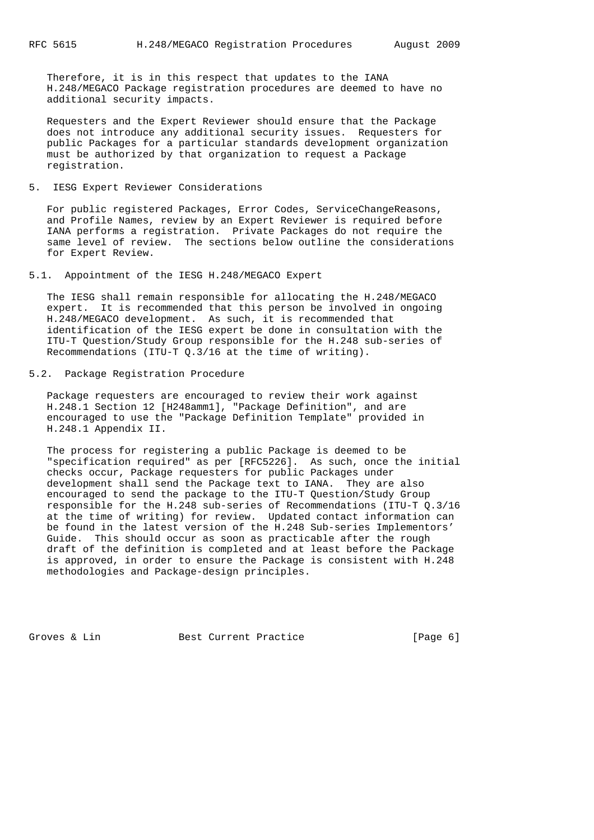Therefore, it is in this respect that updates to the IANA H.248/MEGACO Package registration procedures are deemed to have no additional security impacts.

 Requesters and the Expert Reviewer should ensure that the Package does not introduce any additional security issues. Requesters for public Packages for a particular standards development organization must be authorized by that organization to request a Package registration.

## 5. IESG Expert Reviewer Considerations

 For public registered Packages, Error Codes, ServiceChangeReasons, and Profile Names, review by an Expert Reviewer is required before IANA performs a registration. Private Packages do not require the same level of review. The sections below outline the considerations for Expert Review.

5.1. Appointment of the IESG H.248/MEGACO Expert

 The IESG shall remain responsible for allocating the H.248/MEGACO expert. It is recommended that this person be involved in ongoing H.248/MEGACO development. As such, it is recommended that identification of the IESG expert be done in consultation with the ITU-T Question/Study Group responsible for the H.248 sub-series of Recommendations (ITU-T  $Q.3/16$  at the time of writing).

5.2. Package Registration Procedure

 Package requesters are encouraged to review their work against H.248.1 Section 12 [H248amm1], "Package Definition", and are encouraged to use the "Package Definition Template" provided in H.248.1 Appendix II.

 The process for registering a public Package is deemed to be "specification required" as per [RFC5226]. As such, once the initial checks occur, Package requesters for public Packages under development shall send the Package text to IANA. They are also encouraged to send the package to the ITU-T Question/Study Group responsible for the H.248 sub-series of Recommendations (ITU-T Q.3/16 at the time of writing) for review. Updated contact information can be found in the latest version of the H.248 Sub-series Implementors' Guide. This should occur as soon as practicable after the rough draft of the definition is completed and at least before the Package is approved, in order to ensure the Package is consistent with H.248 methodologies and Package-design principles.

Groves & Lin Best Current Practice [Page 6]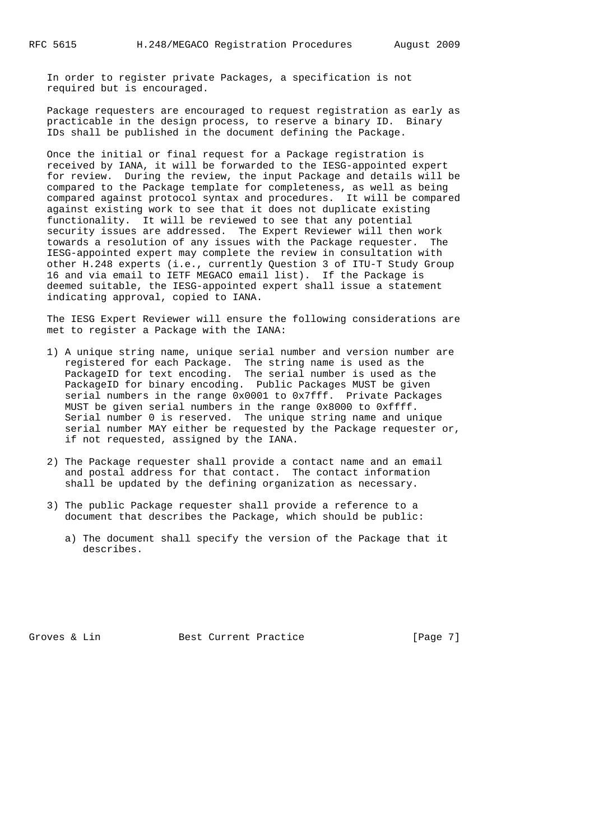In order to register private Packages, a specification is not required but is encouraged.

 Package requesters are encouraged to request registration as early as practicable in the design process, to reserve a binary ID. Binary IDs shall be published in the document defining the Package.

 Once the initial or final request for a Package registration is received by IANA, it will be forwarded to the IESG-appointed expert for review. During the review, the input Package and details will be compared to the Package template for completeness, as well as being compared against protocol syntax and procedures. It will be compared against existing work to see that it does not duplicate existing functionality. It will be reviewed to see that any potential security issues are addressed. The Expert Reviewer will then work towards a resolution of any issues with the Package requester. The IESG-appointed expert may complete the review in consultation with other H.248 experts (i.e., currently Question 3 of ITU-T Study Group 16 and via email to IETF MEGACO email list). If the Package is deemed suitable, the IESG-appointed expert shall issue a statement indicating approval, copied to IANA.

 The IESG Expert Reviewer will ensure the following considerations are met to register a Package with the IANA:

- 1) A unique string name, unique serial number and version number are registered for each Package. The string name is used as the PackageID for text encoding. The serial number is used as the PackageID for binary encoding. Public Packages MUST be given serial numbers in the range 0x0001 to 0x7fff. Private Packages MUST be given serial numbers in the range 0x8000 to 0xffff. Serial number 0 is reserved. The unique string name and unique serial number MAY either be requested by the Package requester or, if not requested, assigned by the IANA.
	- 2) The Package requester shall provide a contact name and an email and postal address for that contact. The contact information shall be updated by the defining organization as necessary.
	- 3) The public Package requester shall provide a reference to a document that describes the Package, which should be public:
		- a) The document shall specify the version of the Package that it describes.

Groves & Lin Best Current Practice [Page 7]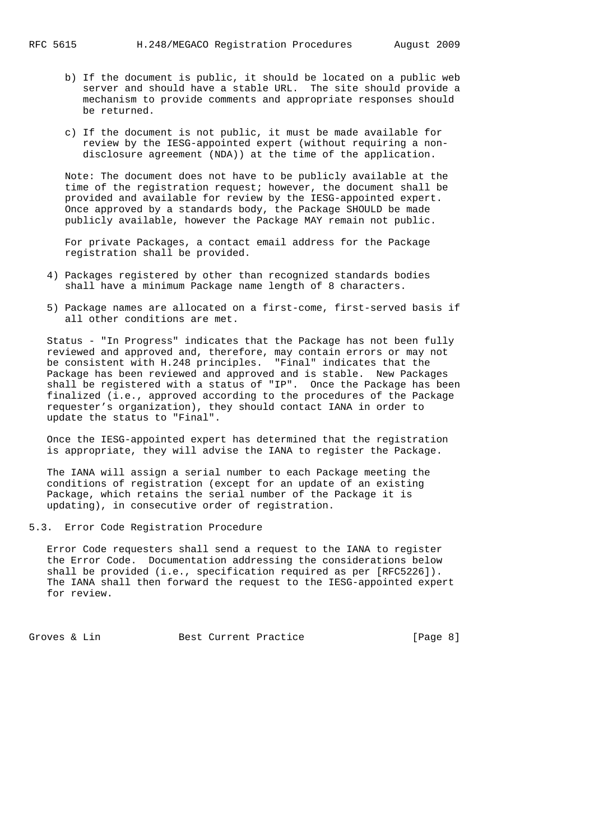- b) If the document is public, it should be located on a public web server and should have a stable URL. The site should provide a mechanism to provide comments and appropriate responses should be returned.
- c) If the document is not public, it must be made available for review by the IESG-appointed expert (without requiring a non disclosure agreement (NDA)) at the time of the application.

 Note: The document does not have to be publicly available at the time of the registration request; however, the document shall be provided and available for review by the IESG-appointed expert. Once approved by a standards body, the Package SHOULD be made publicly available, however the Package MAY remain not public.

 For private Packages, a contact email address for the Package registration shall be provided.

- 4) Packages registered by other than recognized standards bodies shall have a minimum Package name length of 8 characters.
- 5) Package names are allocated on a first-come, first-served basis if all other conditions are met.

 Status - "In Progress" indicates that the Package has not been fully reviewed and approved and, therefore, may contain errors or may not be consistent with H.248 principles. "Final" indicates that the Package has been reviewed and approved and is stable. New Packages shall be registered with a status of "IP". Once the Package has been finalized (i.e., approved according to the procedures of the Package requester's organization), they should contact IANA in order to update the status to "Final".

 Once the IESG-appointed expert has determined that the registration is appropriate, they will advise the IANA to register the Package.

 The IANA will assign a serial number to each Package meeting the conditions of registration (except for an update of an existing Package, which retains the serial number of the Package it is updating), in consecutive order of registration.

5.3. Error Code Registration Procedure

 Error Code requesters shall send a request to the IANA to register the Error Code. Documentation addressing the considerations below shall be provided (i.e., specification required as per [RFC5226]). The IANA shall then forward the request to the IESG-appointed expert for review.

Groves & Lin Best Current Practice [Page 8]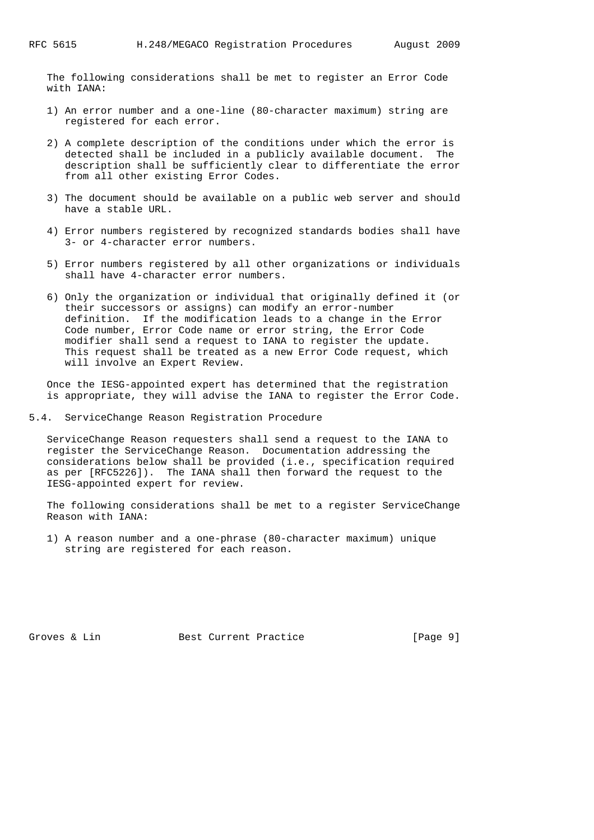The following considerations shall be met to register an Error Code with IANA:

- 1) An error number and a one-line (80-character maximum) string are registered for each error.
- 2) A complete description of the conditions under which the error is detected shall be included in a publicly available document. The description shall be sufficiently clear to differentiate the error from all other existing Error Codes.
- 3) The document should be available on a public web server and should have a stable URL.
- 4) Error numbers registered by recognized standards bodies shall have 3- or 4-character error numbers.
- 5) Error numbers registered by all other organizations or individuals shall have 4-character error numbers.
- 6) Only the organization or individual that originally defined it (or their successors or assigns) can modify an error-number definition. If the modification leads to a change in the Error Code number, Error Code name or error string, the Error Code modifier shall send a request to IANA to register the update. This request shall be treated as a new Error Code request, which will involve an Expert Review.

 Once the IESG-appointed expert has determined that the registration is appropriate, they will advise the IANA to register the Error Code.

5.4. ServiceChange Reason Registration Procedure

 ServiceChange Reason requesters shall send a request to the IANA to register the ServiceChange Reason. Documentation addressing the considerations below shall be provided (i.e., specification required as per [RFC5226]). The IANA shall then forward the request to the IESG-appointed expert for review.

 The following considerations shall be met to a register ServiceChange Reason with IANA:

 1) A reason number and a one-phrase (80-character maximum) unique string are registered for each reason.

Groves & Lin Best Current Practice [Page 9]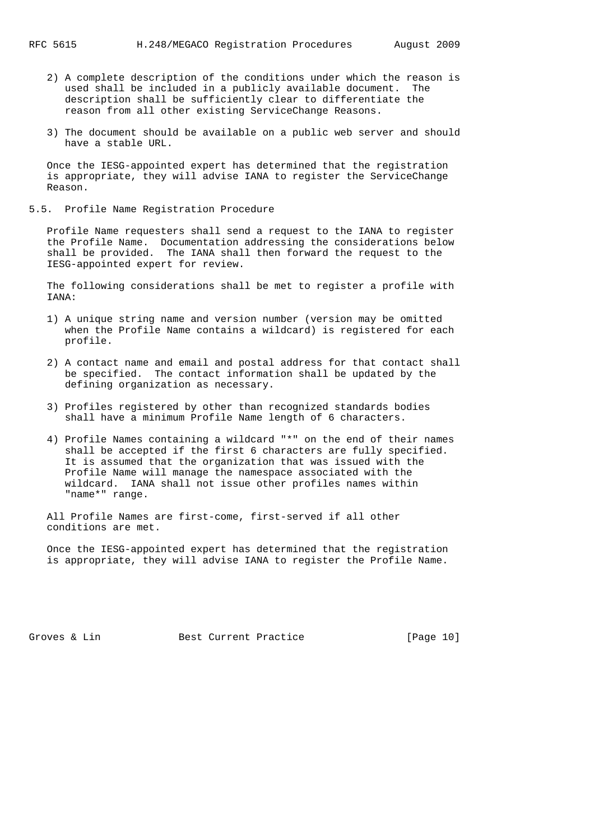- 2) A complete description of the conditions under which the reason is used shall be included in a publicly available document. The description shall be sufficiently clear to differentiate the reason from all other existing ServiceChange Reasons.
- 3) The document should be available on a public web server and should have a stable URL.

 Once the IESG-appointed expert has determined that the registration is appropriate, they will advise IANA to register the ServiceChange Reason.

5.5. Profile Name Registration Procedure

 Profile Name requesters shall send a request to the IANA to register the Profile Name. Documentation addressing the considerations below shall be provided. The IANA shall then forward the request to the IESG-appointed expert for review.

 The following considerations shall be met to register a profile with IANA:

- 1) A unique string name and version number (version may be omitted when the Profile Name contains a wildcard) is registered for each profile.
- 2) A contact name and email and postal address for that contact shall be specified. The contact information shall be updated by the defining organization as necessary.
- 3) Profiles registered by other than recognized standards bodies shall have a minimum Profile Name length of 6 characters.
- 4) Profile Names containing a wildcard "\*" on the end of their names shall be accepted if the first 6 characters are fully specified. It is assumed that the organization that was issued with the Profile Name will manage the namespace associated with the wildcard. IANA shall not issue other profiles names within "name\*" range.

 All Profile Names are first-come, first-served if all other conditions are met.

 Once the IESG-appointed expert has determined that the registration is appropriate, they will advise IANA to register the Profile Name.

Groves & Lin Best Current Practice [Page 10]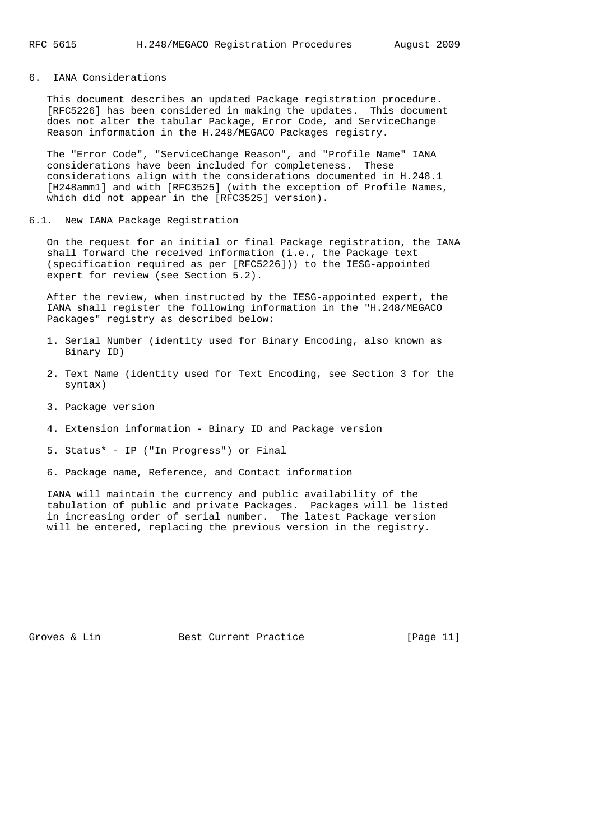# 6. IANA Considerations

 This document describes an updated Package registration procedure. [RFC5226] has been considered in making the updates. This document does not alter the tabular Package, Error Code, and ServiceChange Reason information in the H.248/MEGACO Packages registry.

 The "Error Code", "ServiceChange Reason", and "Profile Name" IANA considerations have been included for completeness. These considerations align with the considerations documented in H.248.1 [H248amm1] and with [RFC3525] (with the exception of Profile Names, which did not appear in the [RFC3525] version).

6.1. New IANA Package Registration

 On the request for an initial or final Package registration, the IANA shall forward the received information (i.e., the Package text (specification required as per [RFC5226])) to the IESG-appointed expert for review (see Section 5.2).

 After the review, when instructed by the IESG-appointed expert, the IANA shall register the following information in the "H.248/MEGACO Packages" registry as described below:

- 1. Serial Number (identity used for Binary Encoding, also known as Binary ID)
- 2. Text Name (identity used for Text Encoding, see Section 3 for the syntax)
- 3. Package version
- 4. Extension information Binary ID and Package version

5. Status\* - IP ("In Progress") or Final

6. Package name, Reference, and Contact information

 IANA will maintain the currency and public availability of the tabulation of public and private Packages. Packages will be listed in increasing order of serial number. The latest Package version will be entered, replacing the previous version in the registry.

Groves & Lin Best Current Practice [Page 11]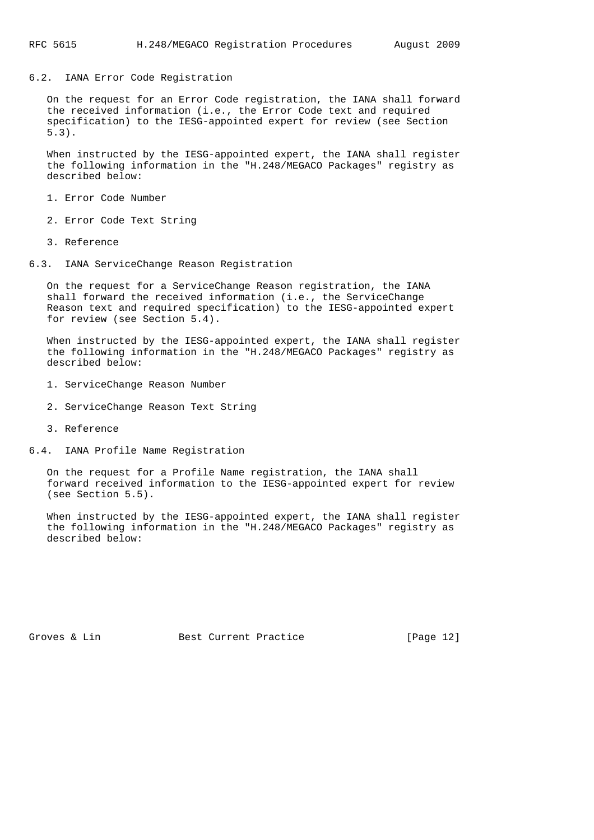6.2. IANA Error Code Registration

 On the request for an Error Code registration, the IANA shall forward the received information (i.e., the Error Code text and required specification) to the IESG-appointed expert for review (see Section 5.3).

 When instructed by the IESG-appointed expert, the IANA shall register the following information in the "H.248/MEGACO Packages" registry as described below:

1. Error Code Number

- 2. Error Code Text String
- 3. Reference
- 6.3. IANA ServiceChange Reason Registration

 On the request for a ServiceChange Reason registration, the IANA shall forward the received information (i.e., the ServiceChange Reason text and required specification) to the IESG-appointed expert for review (see Section 5.4).

 When instructed by the IESG-appointed expert, the IANA shall register the following information in the "H.248/MEGACO Packages" registry as described below:

- 1. ServiceChange Reason Number
- 2. ServiceChange Reason Text String
- 3. Reference
- 6.4. IANA Profile Name Registration

 On the request for a Profile Name registration, the IANA shall forward received information to the IESG-appointed expert for review (see Section 5.5).

 When instructed by the IESG-appointed expert, the IANA shall register the following information in the "H.248/MEGACO Packages" registry as described below:

Groves & Lin Best Current Practice [Page 12]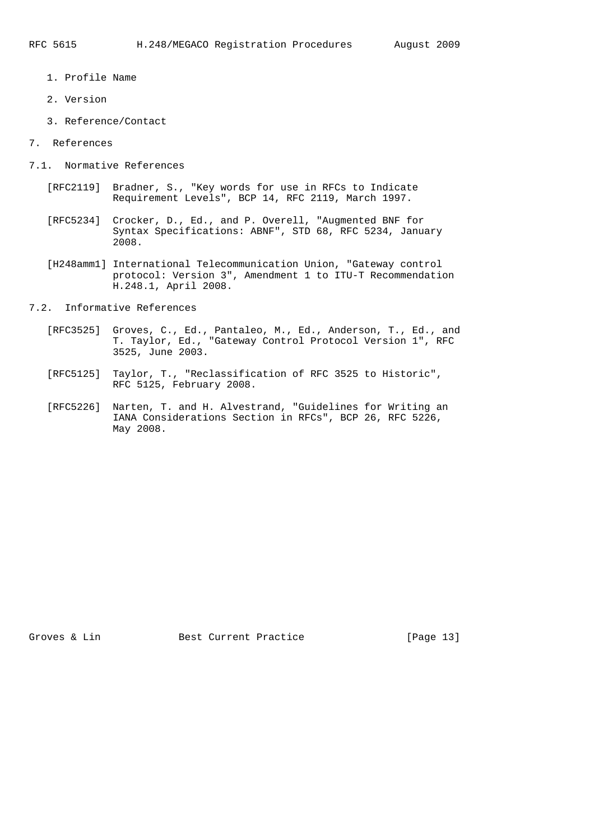- 1. Profile Name
- 2. Version
- 3. Reference/Contact
- 7. References
- 7.1. Normative References
	- [RFC2119] Bradner, S., "Key words for use in RFCs to Indicate Requirement Levels", BCP 14, RFC 2119, March 1997.
	- [RFC5234] Crocker, D., Ed., and P. Overell, "Augmented BNF for Syntax Specifications: ABNF", STD 68, RFC 5234, January 2008.
	- [H248amm1] International Telecommunication Union, "Gateway control protocol: Version 3", Amendment 1 to ITU-T Recommendation H.248.1, April 2008.
- 7.2. Informative References
	- [RFC3525] Groves, C., Ed., Pantaleo, M., Ed., Anderson, T., Ed., and T. Taylor, Ed., "Gateway Control Protocol Version 1", RFC 3525, June 2003.
	- [RFC5125] Taylor, T., "Reclassification of RFC 3525 to Historic", RFC 5125, February 2008.
	- [RFC5226] Narten, T. and H. Alvestrand, "Guidelines for Writing an IANA Considerations Section in RFCs", BCP 26, RFC 5226, May 2008.

Groves & Lin Best Current Practice [Page 13]